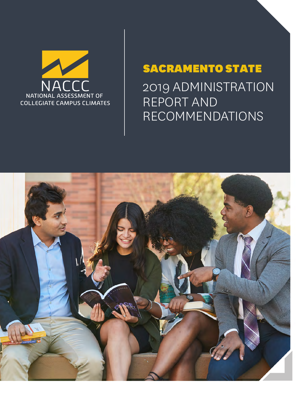

2019 ADMINISTRATION REPORT AND RECOMMENDATIONS

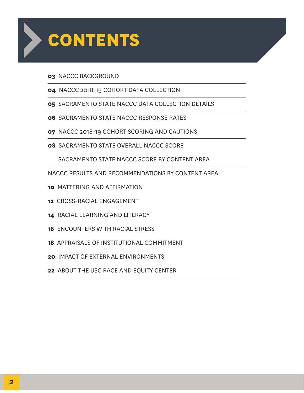

#### NACCC BACKGROUND

- NACCC 2018-19 COHORT DATA COLLECTION
- SACRAMENTO STATE NACCC DATA COLLECTION DETAILS
- SACRAMENTO STATE NACCC RESPONSE RATES
- NACCC 2018-19 COHORT SCORING AND CAUTIONS
- SACRAMENTO STATE OVERALL NACCC SCORE

SACRAMENTO STATE NACCC SCORE BY CONTENT AREA

- NACCC RESULTS AND RECOMMENDATIONS BY CONTENT AREA
- MATTERING AND AFFIRMATION
- CROSS-RACIAL ENGAGEMENT
- RACIAL LEARNING AND LITERACY
- ENCOUNTERS WITH RACIAL STRESS
- APPRAISALS OF INSTITUTIONAL COMMITMENT
- IMPACT OF EXTERNAL ENVIRONMENTS
- ABOUT THE USC RACE AND EQUITY CENTER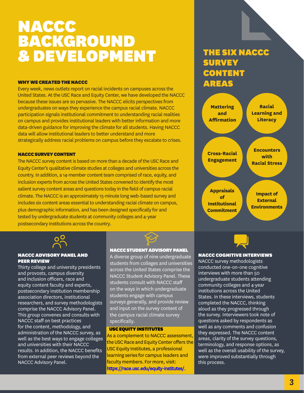# NACCC BACKGROUND & DEVELOPMENT

#### WHY WE CREATED THE NACCC

Every week, news outlets report on racial incidents on campuses across the United States. At the USC Race and Equity Center, we have developed the NACCC because these issues are so pervasive. The NACCC elicits perspectives from undergraduates on ways they experience the campus racial climate. NACCC participation signals institutional commitment to understanding racial realities on campus and provides institutional leaders with better information and more data-driven guidance for improving the climate for all students. Having NACCC data will allow institutional leaders to better understand and more strategically address racial problems on campus before they escalate to crises.

#### NACCC SURVEY CONTENT

The NACCC survey content is based on more than a decade of the USC Race and Equity Center's qualitative climate studies at colleges and universities across the country. In addition, a 14-member content team comprised of race, equity, and inclusion experts from across the United States convened to identify the most salient survey content areas and questions today in the field of campus racial climate. The NACCC is an approximately 15-minute long web-based survey and includes six content areas essential to understanding racial climate on campus, plus demographic information, and has been designed specifically for and tested by undergraduate students at community colleges and 4-year postsecondary institutions across the country.



#### NACCC ADVISORY PANEL AND **PEER REVIEW**

Thirty college and university presidents and provosts, campus diversity and inclusion officers, race and equity content faculty and experts, postsecondary institution membership association directors, institutional researchers, and survey methodologists comprise the NACCC Advisory Panel. This group convenes and consults with NACCC staff on best practices for the content, methodology, and administration of the NACCC survey, as well as the best ways to engage colleges and universities with their NACCC results. In addition, the NACCC benefits from external peer reviews beyond the NACCC Advisory Panel.

#### NACCC STUDENT ADVISORY PANEL

A diverse group of nine undergraduate students from colleges and universities across the United States comprise the NACCC Student Advisory Panel. These students consult with NACCC staff on the ways in which undergraduate students engage with campus surveys generally, and provide review and input on the survey content of the campus racial climate survey specifically.

#### USC EQUITY INSTITUTES

As a complement to NACCC assessment, the USC Race and Equity Center offers the USC Equity Institutes, a professional learning series for campus leaders and faculty members. For more, visit: https://race.usc.edu/equity-institutes/.

## THE SIX NACCC **SURVEY CONTENT** AREAS





#### NACCC COGNITIVE INTERVIEWS

NACCC survey methodologists conducted one-on-one cognitive interviews with more than 50 undergraduate students attending community colleges and 4-year institutions across the United States. In these interviews, students completed the NACCC, thinking aloud as they progressed through the survey. Interviewers took note of questions asked by respondents as well as any comments and confusion they expressed. The NACCC content areas, clarity of the survey questions, terminology, and response options, as well as the overall usability of the survey, were improved substantially through this process.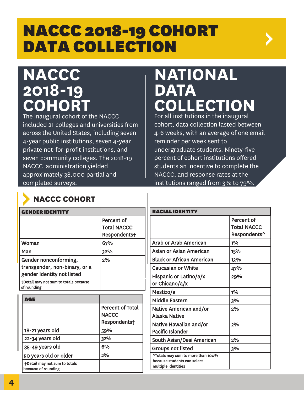# NACCC 2018-19 COHORT DATA COLLECTION

# **NACCC 2018-19 COHORT**

The inaugural cohort of the NACCC included 21 colleges and universities from across the United States, including seven 4-year public institutions, seven 4-year private not-for-profit institutions, and seven community colleges. The 2018-19 NACCC administration yielded approximately 38,000 partial and completed surveys.

# **NATIONAL DATA** LECTION

For all institutions in the inaugural cohort, data collection lasted between 4-6 weeks, with an average of one email reminder per week sent to undergraduate students. Ninety-five percent of cohort institutions offered students an incentive to complete the NACCC, and response rates at the institutions ranged from 3% to 79%.

| <b>GENDER IDENTITY</b>                                              |                                                  | <b>RACIAL IDENTITY</b>                             |                                                  |  |  |  |
|---------------------------------------------------------------------|--------------------------------------------------|----------------------------------------------------|--------------------------------------------------|--|--|--|
|                                                                     | Percent of<br><b>Total NACCC</b><br>Respondents+ |                                                    | Percent of<br><b>Total NACCC</b><br>Respondents^ |  |  |  |
| Woman                                                               | 67%                                              | <b>Arab or Arab American</b>                       | 10/6                                             |  |  |  |
| Man                                                                 | 32%                                              | Asian or Asian American                            | 15%                                              |  |  |  |
| Gender nonconforming,                                               | 2%                                               | <b>Black or African American</b>                   | 13%                                              |  |  |  |
| transgender, non-binary, or a                                       |                                                  | <b>Caucasian or White</b>                          | 47%                                              |  |  |  |
| gender identity not listed<br>+Detail may not sum to totals because |                                                  | Hispanic or Latino/a/x<br>or Chicano/a/x           | 29%                                              |  |  |  |
| of rounding                                                         |                                                  | Mestizo/a                                          | 1%                                               |  |  |  |
| <b>AGE</b>                                                          |                                                  | <b>Middle Eastern</b>                              | 3%                                               |  |  |  |
|                                                                     | <b>Percent of Total</b><br><b>NACCC</b>          | Native American and/or<br><b>Alaska Native</b>     | $2^{0}/_{0}$                                     |  |  |  |
|                                                                     | Respondents+                                     | Native Hawaiian and/or                             | 2%                                               |  |  |  |
| 18-21 years old                                                     | 59%                                              | Pacific Islander                                   |                                                  |  |  |  |
| 22-34 years old                                                     | 32%                                              | South Asian/Desi American                          | $2^{0}/_{0}$                                     |  |  |  |
| 35-49 years old                                                     | 6%                                               | <b>Groups not listed</b>                           | 3%                                               |  |  |  |
| 50 years old or older                                               | 2%                                               | ^Totals may sum to more than 100%                  |                                                  |  |  |  |
| +Detail may not sum to totals<br>because of rounding                |                                                  | because students can select<br>multiple identities |                                                  |  |  |  |

# **NACCC COHORT**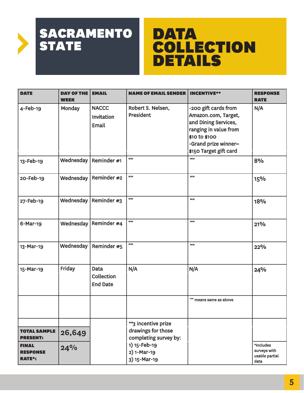# DATA COLLECTION **DETAILS**

| <b>DATE</b>                                      | <b>DAY OF THE</b><br><b>WEEK</b> | <b>EMAIL</b>                                 | <b>NAME OF EMAIL SENDER</b>                                        | <b>INCENTIVE**</b>                                                                                                                                                      | <b>RESPONSE</b><br><b>RATE</b>                      |
|--------------------------------------------------|----------------------------------|----------------------------------------------|--------------------------------------------------------------------|-------------------------------------------------------------------------------------------------------------------------------------------------------------------------|-----------------------------------------------------|
| $4$ -Feb-19                                      | Monday                           | <b>NACCC</b><br>Invitation<br>Email          | Robert S. Nelsen,<br>President                                     | -200 gift cards from<br>Amazon.com, Target,<br>and Dining Services,<br>ranging in value from<br>\$10 to \$100<br>-Grand prize winner=<br>\$150 Target gift card<br>6533 |                                                     |
| 13-Feb-19                                        | Wednesday                        | Reminder #1                                  | 6633                                                               |                                                                                                                                                                         | 8%                                                  |
| 20-Feb-19                                        | Wednesday                        | Reminder #2                                  | 6533                                                               | 6633                                                                                                                                                                    | 15%                                                 |
| 27-Feb-19                                        | Wednesday                        | Reminder $#3$                                | 6633                                                               | 6633                                                                                                                                                                    | 18%                                                 |
| 6-Mar-19                                         | Wednesday                        | Reminder #4                                  | 6633                                                               | 6633                                                                                                                                                                    | 21%                                                 |
| 13-Mar-19                                        | Wednesday                        | Reminder #5                                  | 6633                                                               | 6633                                                                                                                                                                    | 22%                                                 |
| 15-Mar-19                                        | Friday                           | <b>Data</b><br>Collection<br><b>End Date</b> | N/A                                                                | N/A                                                                                                                                                                     | 24%                                                 |
|                                                  |                                  |                                              |                                                                    | "" means same as above                                                                                                                                                  |                                                     |
| <b>TOTAL SAMPLE</b><br><b>PRESENT:</b>           | 26,649                           |                                              | **3 incentive prize<br>drawings for those<br>completing survey by: |                                                                                                                                                                         |                                                     |
| <b>FINAL</b><br><b>RESPONSE</b><br><b>RATE*:</b> | 24%                              |                                              | 1) 15-Feb-19<br>2) 1-Mar-19<br>3) 15-Mar-19                        |                                                                                                                                                                         | *Includes<br>surveys with<br>usable partial<br>data |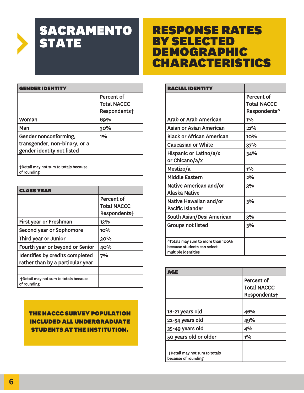# RESPONSE RATES BY SELECTED DEMOGRAPHIC CHARACTERISTICS

| NDER IDENT                                           |                    |
|------------------------------------------------------|--------------------|
|                                                      | Percent of         |
|                                                      | <b>Total NACCC</b> |
|                                                      | Respondents+       |
| Woman                                                | 69%                |
| Man                                                  | 30%                |
| Gender nonconforming,                                | $1\%$              |
| transgender, non-binary, or a                        |                    |
| gender identity not listed                           |                    |
|                                                      |                    |
| +Detail may not sum to totals because<br>of rounding |                    |

| CLASS YEAR                                           |                    |
|------------------------------------------------------|--------------------|
|                                                      | Percent of         |
|                                                      | <b>Total NACCC</b> |
|                                                      | Respondents+       |
| First year or Freshman                               | 13%                |
| Second year or Sophomore                             | 10%                |
| Third year or Junior                                 | 30%                |
| Fourth year or beyond or Senior                      | 40%                |
| Identifies by credits completed                      | 7%                 |
| rather than by a particular year                     |                    |
|                                                      |                    |
| +Detail may not sum to totals because<br>of rounding |                    |

#### THE NACCC SURVEY POPULATION INCLUDED ALL UNDERGRADUATE STUDENTS AT THE INSTITUTION.

| <b>RACIAL IDENT</b>                                                                     |                                                  |
|-----------------------------------------------------------------------------------------|--------------------------------------------------|
|                                                                                         | Percent of<br><b>Total NACCC</b><br>Respondents^ |
| Arab or Arab American                                                                   | 10/2                                             |
| Asian or Asian American                                                                 | 22%                                              |
| <b>Black or African American</b>                                                        | <b>10%</b>                                       |
| <b>Caucasian or White</b>                                                               | 37%                                              |
| Hispanic or Latino/a/x<br>or Chicano/a/x                                                | 34%                                              |
| Mestizo/a                                                                               | 10/2                                             |
| <b>Middle Eastern</b>                                                                   | 2%                                               |
| Native American and/or<br>Alaska Native                                                 | 3%                                               |
| Native Hawaiian and/or<br><b>Pacific Islander</b>                                       | 3%                                               |
| South Asian/Desi American                                                               | 3%                                               |
| <b>Groups not listed</b>                                                                | 3%                                               |
|                                                                                         |                                                  |
| ^Totals may sum to more than 100%<br>because students can select<br>multiple identities |                                                  |

| ∆vel∃                                                |                    |
|------------------------------------------------------|--------------------|
|                                                      | Percent of         |
|                                                      | <b>Total NACCC</b> |
|                                                      | Respondents+       |
|                                                      |                    |
| 18-21 years old                                      | 46%                |
| 22-34 years old                                      | 49%                |
| 35-49 years old                                      | 4%                 |
| 50 years old or older                                | 10/6               |
|                                                      |                    |
| +Detail may not sum to totals<br>because of rounding |                    |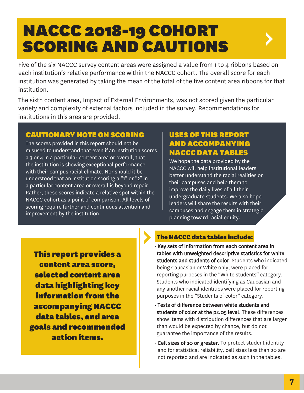# NACCC 2018-19 COHORT SCORING AND CAUTIONS

Five of the six NACCC survey content areas were assigned a value from 1 to 4 ribbons based on each institution's relative performance within the NACCC cohort. The overall score for each institution was generated by taking the mean of the total of the five content area ribbons for that institution.

The sixth content area, Impact of External Environments, was not scored given the particular variety and complexity of external factors included in the survey. Recommendations for institutions in this area are provided.

#### CAUTIONARY NOTE ON SCORING

The scores provided in this report should not be misused to understand that even if an institution scores a 3 or 4 in a particular content area or overall, that the institution is showing exceptional performance with their campus racial climate. Nor should it be understood that an institution scoring a "1" or "2" in a particular content area or overall is beyond repair. Rather, these scores indicate a relative spot within the NACCC cohort as a point of comparison. All levels of scoring require further and continuous attention and improvement by the institution.

### USES OF THIS REPORT AND ACCOMPANYING NACCC DATA TABLES

We hope the data provided by the NACCC will help institutional leaders better understand the racial realities on their campuses and help them to improve the daily lives of all their undergraduate students. We also hope leaders will share the results with their campuses and engage them in strategic planning toward racial equity.

This report provides a content area score, selected content area data highlighting key information from the accompanying NACCC data tables, and area goals and recommended action items.

#### The NACCC data tables include:

- Key sets of information from each content area in tables with unweighted descriptive statistics for white students and students of color. Students who indicated being Caucasian or White only, were placed for reporting purposes in the "White students" category. Students who indicated identifying as Caucasian and any another racial identities were placed for reporting purposes in the "Students of color" category.
- Tests of difference between white students and students of color at the p≤.05 level. These differences show items with distribution differences that are larger than would be expected by chance, but do not guarantee the importance of the results.
- Cell sizes of 20 or greater. To protect student identity and for statistical reliability, cell sizes less than 20 are not reported and are indicated as such in the tables.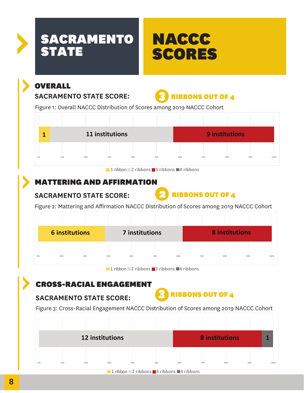

# OVERALL

### **SACRAMENTO STATE SCORE:**



Figure 1: Overall NACCC Distribution of Scores among 2019 NACCC Cohort



1 ribbon  $\sqrt{2}$  ribbons  $\sqrt{3}$  ribbons  $\sqrt{4}$  ribbons

## MATTERING AND AFFIRMATION

**SACRAMENTO STATE SCORE:**



Figure 2: Mattering and Affirmation NACCC Distribution of Scores among 2019 NACCC Cohort

|    | 6 institutions |     | 7 institutions |     |     |     | <b>8</b> institutions |     |     |      |
|----|----------------|-----|----------------|-----|-----|-----|-----------------------|-----|-----|------|
|    |                |     |                |     |     |     |                       |     |     |      |
| 0% | 10%            | 20% | 30%            | 40% | 50% | 60% | 70%                   | 80% | 90% | 100% |

 $\blacksquare$  1 ribbon  $\blacksquare$  2 ribbons  $\blacksquare$  3 ribbons  $\blacksquare$  4 ribbons

## CROSS-RACIAL ENGAGEMENT

### **SACRAMENTO STATE SCORE:**



Figure 3: Cross-Racial Engagement NACCC Distribution of Scores among 2019 NACCC Cohort

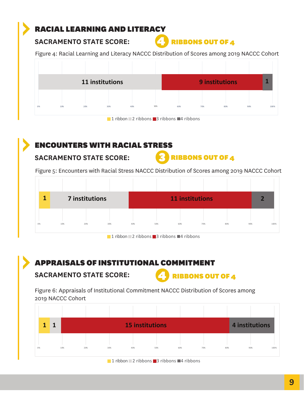## RACIAL LEARNING AND LITERACY

#### **SACRAMENTO STATE SCORE:**



Figure 4: Racial Learning and Literacy NACCC Distribution of Scores among 2019 NACCC Cohort



1 ribbon  $\sqrt{2}$  ribbons  $\sqrt{3}$  ribbons  $\sqrt{4}$  ribbons

## ENCOUNTERS WITH RACIAL STRESS

#### **SACRAMENTO STATE SCORE:**



Figure 5: Encounters with Racial Stress NACCC Distribution of Scores among 2019 NACCC Cohort

| 1  | <b>7 institutions</b> |     |     | <b>11 institutions</b> |     |     |     |     | $\overline{2}$ |      |
|----|-----------------------|-----|-----|------------------------|-----|-----|-----|-----|----------------|------|
|    |                       |     |     |                        |     |     |     |     |                |      |
| 0% | 10%                   | 20% | 30% | 40%                    | 50% | 60% | 70% | 80% | 90%            | 100% |

 $\blacksquare$  1 ribbon  $\blacksquare$  2 ribbons  $\blacksquare$  3 ribbons  $\blacksquare$  4 ribbons

## APPRAISALS OF INSTITUTIONAL COMMITMENT

#### **SACRAMENTO STATE SCORE:**



Figure 6: Appraisals of Institutional Commitment NACCC Distribution of Scores among 2019 NACCC Cohort

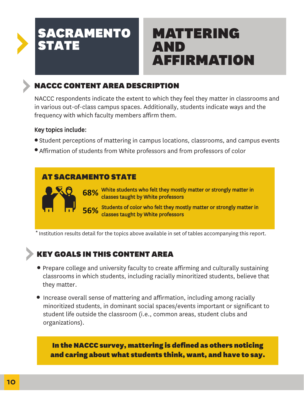# MATTERING AND AFFIRMATION

## NACCC CONTENT AREA DESCRIPTION

NACCC respondents indicate the extent to which they feel they matter in classrooms and in various out-of-class campus spaces. Additionally, students indicate ways and the frequency with which faculty members affirm them.

#### Key topics include:

- Student perceptions of mattering in campus locations, classrooms, and campus events
- Affirmation of students from White professors and from professors of color

### AT SACRAMENTO STATE

**68%** White students who felt they mostly matter or strongly matter in Sample statistic substitution of the classes taught by White professors classes taught by White professors

**56%** Students of color who felt they mostly matter or strongly matter in S**6%** classes taught by White professors classes taught by White professors

Institution results detail for the topics above available in set of tables accompanying this report.

## KEY GOALS IN THIS CONTENT AREA

- Prepare college and university faculty to create affirming and culturally sustaining classrooms in which students, including racially minoritized students, believe that they matter.
- Increase overall sense of mattering and affirmation, including among racially minoritized students, in dominant social spaces/events important or significant to student life outside the classroom (i.e., common areas, student clubs and organizations).

#### In the NACCC survey, mattering is defined as others noticing and caring about what students think, want, and have to say.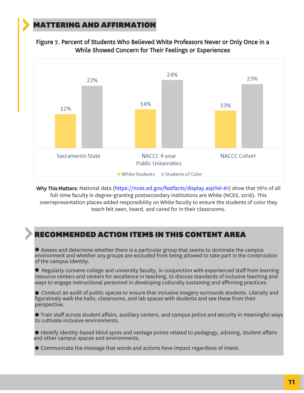### MATTERING AND AFFIRMATION





Why This Matters: National data (https://nces.ed.gov/fastfacts/display.asp?id=61) show that 76% of all full-time faculty in degree-granting postsecondary institutions are White (NCES, 2016). This overrepresentation places added responsibility on White faculty to ensure the students of color they teach felt seen, heard, and cared for in their classrooms.

#### RECOMMENDED ACTION ITEMS IN THIS CONTENT AREA

● Assess and determine whether there is a particular group that seems to dominate the campus environment and whether any groups are excluded from being allowed to take part in the construction of the campus identity.

 $\bullet$  Regularly convene college and university faculty, in conjunction with experienced staff from learning resource centers and centers for excellence in teaching, to discuss standards of inclusive teaching and ways to engage instructional personnel in developing culturally sustaining and affirming practices.

● Conduct an audit of public spaces to ensure that inclusive imagery surrounds students. Literally and figuratively walk the halls, classrooms, and lab spaces with students and see these from their perspective.

● Train staff across student affairs, auxiliary centers, and campus police and security in meaningful ways to cultivate inclusive environments.

● Identify identity-based blind spots and vantage points related to pedagogy, advising, student affairs and other campus spaces and environments.

● Communicate the message that words and actions have impact regardless of intent.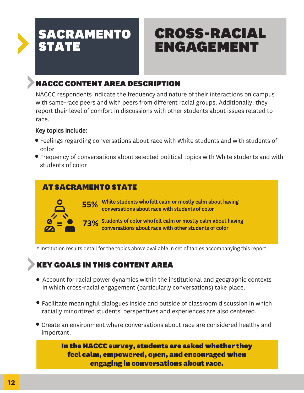# CROSS-RACIAL ENGAGEMENT

# NACCC CONTENT AREA DESCRIPTION

NACCC respondents indicate the frequency and nature of their interactions on campus with same-race peers and with peers from different racial groups. Additionally, they report their level of comfort in discussions with other students about issues related to race.

#### Key topics include:

- Feelings regarding conversations about race with White students and with students of color
- Frequency of conversations about selected political topics with White students and with students of color

### AT SACRAMENTO STATE



**55%** White students who felt calm or mostly calm about having<br>Conversations about race with students of color conversations about race with students of color

**73%** Students of color who felt calm or mostly calm about having<br> **73%** conversations about race with other students of color conversations about race with other students of color

\* Institution results detail for the topics above available in set of tables accompanying this report.

## KEY GOALS IN THIS CONTENT AREA

- Account for racial power dynamics within the institutional and geographic contexts in which cross-racial engagement (particularly conversations) take place.
- Facilitate meaningful dialogues inside and outside of classroom discussion in which racially minoritized students' perspectives and experiences are also centered.
- Create an environment where conversations about race are considered healthy and important.

In the NACCC survey, students are asked whether they feel calm, empowered, open, and encouraged when engaging in conversations about race.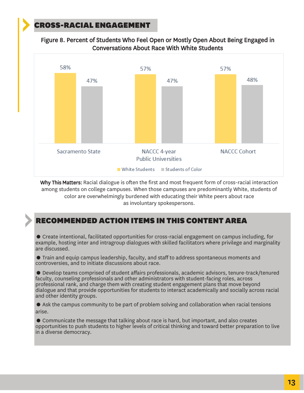### CROSS-RACIAL ENGAGEMENT

Figure 8. Percent of Students Who Feel Open or Mostly Open About Being Engaged in Conversations About Race With White Students



Why This Matters: Racial dialogue is often the first and most frequent form of cross-racial interaction among students on college campuses. When those campuses are predominantly White, students of color are overwhelmingly burdened with educating their White peers about race as involuntary spokespersons.

#### RECOMMENDED ACTION ITEMS IN THIS CONTENT AREA

● Create intentional, facilitated opportunities for cross-racial engagement on campus including, for example, hosting inter and intragroup dialogues with skilled facilitators where privilege and marginality are discussed.

● Train and equip campus leadership, faculty, and staff to address spontaneous moments and controversies, and to initiate discussions about race.

● Develop teams comprised of student affairs professionals, academic advisors, tenure-track/tenured faculty, counseling professionals and other administrators with student-facing roles, across professional rank, and charge them with creating student engagement plans that move beyond dialogue and that provide opportunities for students to interact academically and socially across racial and other identity groups.

● Ask the campus community to be part of problem solving and collaboration when racial tensions arise.

● Communicate the message that talking about race is hard, but important, and also creates opportunities to push students to higher levels of critical thinking and toward better preparation to live in a diverse democracy.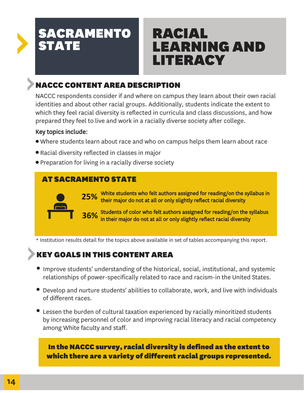# RACIAL LEARNING AND LITERACY

# NACCC CONTENT AREA DESCRIPTION

NACCC respondents consider if and where on campus they learn about their own racial identities and about other racial groups. Additionally, students indicate the extent to which they feel racial diversity is reflected in curricula and class discussions, and how prepared they feel to live and work in a racially diverse society after college.

### Key topics include:

- Where students learn about race and who on campus helps them learn about race ●
- Racial diversity reflected in classes in major ●
- Preparation for living in a racially diverse society

## AT SACRAMENTO STATE



**25%** White students who felt authors assigned for reading/on the syllabus in <br>25% their major do not at all or only slightly reflect racial diversity their major do not at all or only slightly reflect racial diversity

**36%** Students of color who felt authors assigned for reading/on the syllabus in their major do not at all or only slightly reflect racial diversity in their major do not at all or only slightly reflect racial diversity

\* Institution results detail for the topics above available in set of tables accompanying this report.

# KEY GOALS IN THIS CONTENT AREA

- Improve students' understanding of the historical, social, institutional, and systemic relationships of power-specifically related to race and racism-in the United States.
- Develop and nurture students' abilities to collaborate, work, and live with individuals of different races.
- Lessen the burden of cultural taxation experienced by racially minoritized students by increasing personnel of color and improving racial literacy and racial competency among White faculty and staff.

### In the NACCC survey, racial diversity is defined as the extent to which there are a variety of different racial groups represented.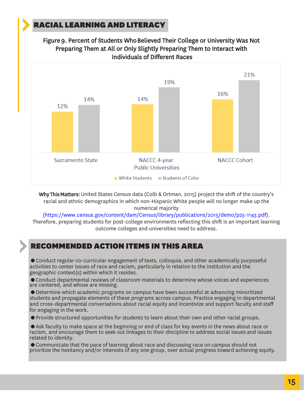### RACIAL LEARNING AND LITERACY





Why This Matters: United States Census data (Colb & Ortman, 2015) project the shift of the country's racial and ethnic demographics in which non-Hispanic White people will no longer make up the numerical majority

(https://www.census.gov/content/dam/Census/library/publications/2015/demo/p25-1143.pdf). Therefore, preparing students for post-college environments reflecting this shift is an important learning outcome colleges and universities need to address.

#### RECOMMENDED ACTION ITEMS IN THIS AREA

● Conduct regular co-curricular engagement of texts, colloquia, and other academically purposeful activities to center issues of race and racism, particularly in relation to the institution and the geographic context(s) within which it resides.

● Conduct departmental reviews of classroom materials to determine whose voices and experiences are centered, and whose are missing.

● Determine which academic programs on campus have been successful at advancing minoritized students and propagate elements of these programs across campus. Practice engaging in departmental and cross-departmental conversations about racial equity and incentivize and support faculty and staff for engaging in the work.

● Provide structured opportunities for students to learn about their own and other racial groups.

● Ask faculty to make space at the beginning or end of class for key events in the news about race or racism, and encourage them to seek out linkages to their discipline to address social issues and issues related to identity.

● Communicate that the pace of learning about race and discussing race on campus should not prioritize the hesitancy and/or interests of any one group, over actual progress toward achieving equity.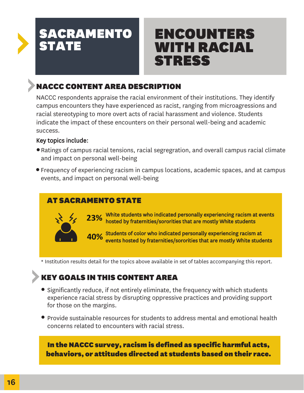# ENCOUNTERS WITH RACIAL STRESS

# NACCC CONTENT AREA DESCRIPTION

NACCC respondents appraise the racial environment of their institutions. They identify campus encounters they have experienced as racist, ranging from microagressions and racial stereotyping to more overt acts of racial harassment and violence. Students indicate the impact of these encounters on their personal well-being and academic success.

#### Key topics include:

- Ratings of campus racial tensions, racial segregration, and overall campus racial climate and impact on personal well-being
- Frequency of experiencing racism in campus locations, academic spaces, and at campus events, and impact on personal well-being

### AT SACRAMENTO STATE



23% White students who indicated personally experiencing racism at events 23% hosted by fraternities/sororities that are mostly White students hosted by fraternities/sororities that are mostly White students

**40%** Students of color who indicated personally experiencing racism at **40%** events hosted by fraternities/sororities that are mostly White stude events hosted by fraternities/sororities that are mostly White students

\* Institution results detail for the topics above available in set of tables accompanying this report.

## KEY GOALS IN THIS CONTENT AREA

- Significantly reduce, if not entirely eliminate, the frequency with which students experience racial stress by disrupting oppressive practices and providing support for those on the margins.
- Provide sustainable resources for students to address mental and emotional health concerns related to encounters with racial stress.

In the NACCC survey, racism is defined as specific harmful acts, behaviors, or attitudes directed at students based on their race.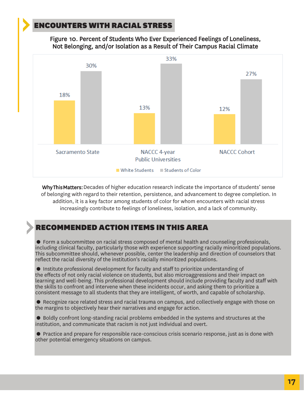### ENCOUNTERS WITH RACIAL STRESS

Figure 10. Percent of Students Who Ever Experienced Feelings of Loneliness, Not Belonging, and/or Isolation as a Result of Their Campus Racial Climate



Why This Matters: Decades of higher education research indicate the importance of students' sense of belonging with regard to their retention, persistence, and advancement to degree completion. In addition, it is a key factor among students of color for whom encounters with racial stress increasingly contribute to feelings of loneliness, isolation, and a lack of community.

### RECOMMENDED ACTION ITEMS IN THIS AREA

● Form a subcommittee on racial stress composed of mental health and counseling professionals, including clinical faculty, particularly those with experience supporting racially minoritized populations. This subcommittee should, whenever possible, center the leadership and direction of counselors that reflect the racial diversity of the institution's racially minoritized populations.

● Institute professional development for faculty and staff to prioritize understanding of the effects of not only racial violence on students, but also microaggressions and their impact on learning and well-being. This professional development should include providing faculty and staff with the skills to confront and intervene when these incidents occur, and asking them to prioritize a consistent message to all students that they are intelligent, of worth, and capable of scholarship.

● Recognize race related stress and racial trauma on campus, and collectively engage with those on the margins to objectively hear their narratives and engage for action.

● Boldly confront long-standing racial problems embedded in the systems and structures at the institution, and communicate that racism is not just individual and overt.

● Practice and prepare for responsible race-conscious crisis scenario response, just as is done with other potential emergency situations on campus.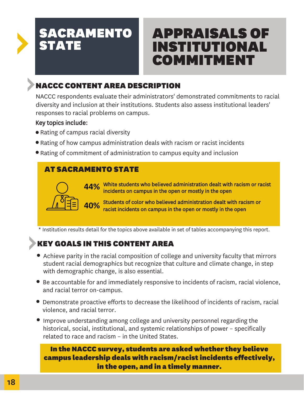# APPRAISALS OF INSTITUTIONAL COMMITMENT

# NACCC CONTENT AREA DESCRIPTION

NACCC respondents evaluate their administrators' demonstrated commitments to racial diversity and inclusion at their institutions. Students also assess institutional leaders' responses to racial problems on campus.

#### Key topics include:

- Rating of campus racial diversity
- Rating of how campus administration deals with racism or racist incidents
- Rating of commitment of administration to campus equity and inclusion ●

### AT SACRAMENTO STATE



**44%** White students who believed administration dealt with racism or racist incidents on campus in the onen or mostly in the onen incidents on campus in the open or mostly in the open

**40%** Students of color who believed administration dealt with racism or state of color who believed administration dealt with racism or racist incidents on campus in the open or mostly in the open

\* Institution results detail for the topics above available in set of tables accompanying this report.

# KEY GOALS IN THIS CONTENT AREA

- Achieve parity in the racial composition of college and university faculty that mirrors student racial demographics but recognize that culture and climate change, in step with demographic change, is also essential.
- Be accountable for and immediately responsive to incidents of racism, racial violence, and racial terror on-campus.
- Demonstrate proactive efforts to decrease the likelihood of incidents of racism, racial violence, and racial terror.
- Improve understanding among college and university personnel regarding the historical, social, institutional, and systemic relationships of power – specifically related to race and racism – in the United States.

### In the NACCC survey, students are asked whether they believe campus leadership deals with racism/racist incidents effectively, in the open, and in a timely manner.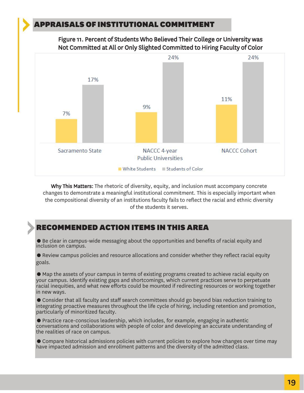#### APPRAISALS OF INSTITUTIONAL COMMITMENT

Figure 11. Percent of Students Who Believed Their College or University was Not Committed at All or Only Slighted Committed to Hiring Faculty of Color



Why This Matters: The rhetoric of diversity, equity, and inclusion must accompany concrete changes to demonstrate a meaningful institutional commitment. This is especially important when the compositional diversity of an institutions faculty fails to reflect the racial and ethnic diversity of the students it serves.

#### RECOMMENDED ACTION ITEMS IN THIS AREA

● Be clear in campus-wide messaging about the opportunities and benefits of racial equity and inclusion on campus.

● Review campus policies and resource allocations and consider whether they reflect racial equity goals.

● Map the assets of your campus in terms of existing programs created to achieve racial equity on your campus. Identify existing gaps and shortcomings, which current practices serve to perpetuate racial inequities, and what new efforts could be mounted if redirecting resources or working together in new ways.

● Consider that all faculty and staff search committees should go beyond bias reduction training to integrating proactive measures throughout the life cycle of hiring, including retention and promotion, particularly of minoritized faculty.

● Practice race-conscious leadership, which includes, for example, engaging in authentic conversations and collaborations with people of color and developing an accurate understanding of the realities of race on campus.

● Compare historical admissions policies with current policies to explore how changes over time may have impacted admission and enrollment patterns and the diversity of the admitted class.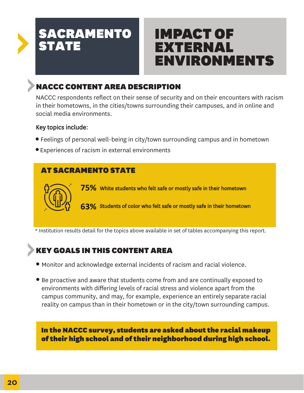# IMPACT OF EXTERNAL ENVIRONMENTS

# NACCC CONTENT AREA DESCRIPTION

NACCC respondents reflect on their sense of security and on their encounters with racism in their hometowns, in the cities/towns surrounding their campuses, and in online and social media environments.

#### Key topics include:

- Feelings of personal well-being in city/town surrounding campus and in hometown ●
- Experiences of racism in external environments

## AT SACRAMENTO STATE



**75%** White students who felt safe or mostly safe in their hometown

**63%** Students of color who felt safe or mostly safe in their hometown

\* Institution results detail for the topics above available in set of tables accompanying this report.

# KEY GOALS IN THIS CONTENT AREA

- Monitor and acknowledge external incidents of racism and racial violence.
- Be proactive and aware that students come from and are continually exposed to environments with differing levels of racial stress and violence apart from the campus community, and may, for example, experience an entirely separate racial reality on campus than in their hometown or in the city/town surrounding campus.

In the NACCC survey, students are asked about the racial makeup of their high school and of their neighborhood during high school.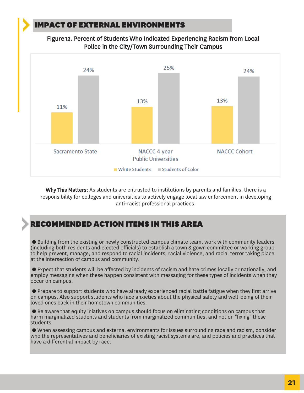### IMPACT OF EXTERNAL ENVIRONMENTS





Why This Matters: As students are entrusted to institutions by parents and families, there is a responsibility for colleges and universities to actively engage local law enforcement in developing anti-racist professional practices.

#### RECOMMENDED ACTION ITEMS IN THIS AREA

● Building from the existing or newly constructed campus climate team, work with community leaders (including both residents and elected officials) to establish a town & gown committee or working group to help prevent, manage, and respond to racial incidents, racial violence, and racial terror taking place at the intersection of campus and community.

● Expect that students will be affected by incidents of racism and hate crimes locally or nationally, and employ messaging when these happen consistent with messaging for these types of incidents when they occur on campus.

● Prepare to support students who have already experienced racial battle fatigue when they first arrive on campus. Also support students who face anxieties about the physical safety and well-being of their loved ones back in their hometown communities.

● Be aware that equity iniatives on campus should focus on eliminating conditions on campus that harm marginalized students and students from marginalized communities, and not on "fixing" these students.

● When assessing campus and external environments for issues surrounding race and racism, consider who the representatives and beneficiaries of existing racist systems are, and policies and practices that have a differential impact by race.